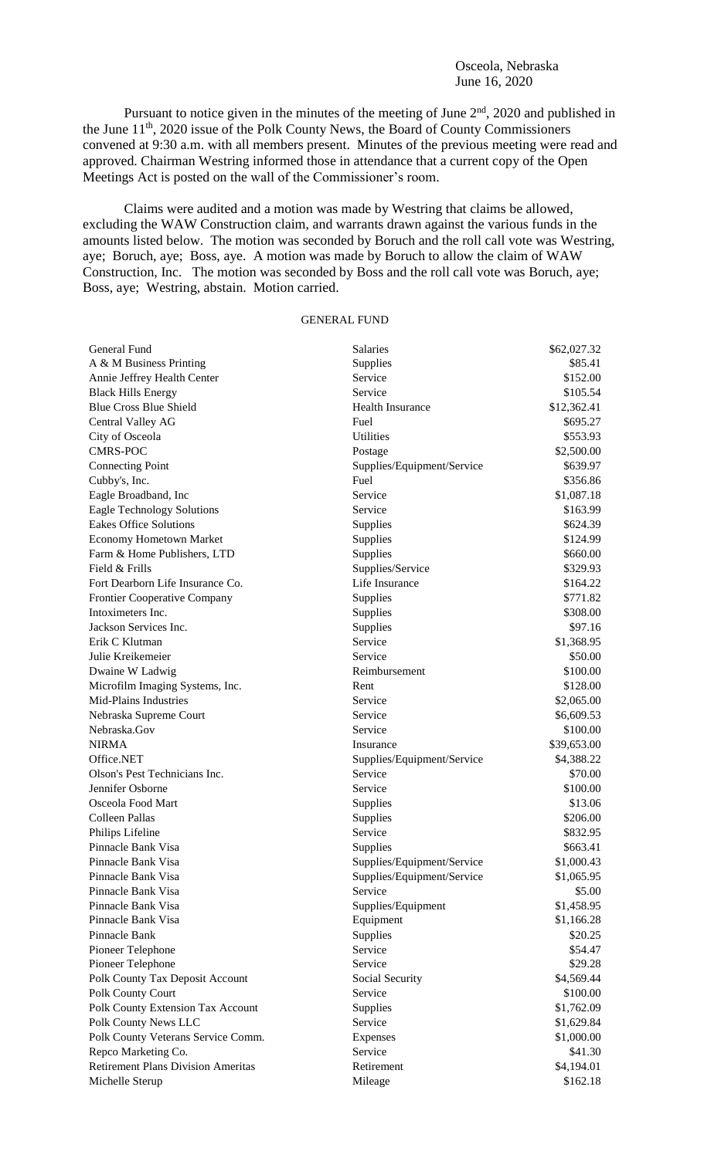Osceola, Nebraska June 16, 2020

Pursuant to notice given in the minutes of the meeting of June 2<sup>nd</sup>, 2020 and published in the June 11<sup>th</sup>, 2020 issue of the Polk County News, the Board of County Commissioners convened at 9:30 a.m. with all members present. Minutes of the previous meeting were read and approved. Chairman Westring informed those in attendance that a current copy of the Open Meetings Act is posted on the wall of the Commissioner's room.

Claims were audited and a motion was made by Westring that claims be allowed, excluding the WAW Construction claim, and warrants drawn against the various funds in the amounts listed below. The motion was seconded by Boruch and the roll call vote was Westring, aye; Boruch, aye; Boss, aye. A motion was made by Boruch to allow the claim of WAW Construction, Inc. The motion was seconded by Boss and the roll call vote was Boruch, aye; Boss, aye; Westring, abstain. Motion carried.

## GENERAL FUND

| General Fund                              | <b>Salaries</b>            | \$62,027.32 |
|-------------------------------------------|----------------------------|-------------|
| A & M Business Printing                   | Supplies                   | \$85.41     |
| Annie Jeffrey Health Center               | Service                    | \$152.00    |
| <b>Black Hills Energy</b>                 | Service                    | \$105.54    |
| <b>Blue Cross Blue Shield</b>             | <b>Health Insurance</b>    | \$12,362.41 |
| Central Valley AG                         | Fuel                       | \$695.27    |
| City of Osceola                           | Utilities                  | \$553.93    |
| <b>CMRS-POC</b>                           | Postage                    | \$2,500.00  |
| <b>Connecting Point</b>                   | Supplies/Equipment/Service | \$639.97    |
| Cubby's, Inc.                             | Fuel                       | \$356.86    |
| Eagle Broadband, Inc                      | Service                    | \$1,087.18  |
| <b>Eagle Technology Solutions</b>         | Service                    | \$163.99    |
| <b>Eakes Office Solutions</b>             | Supplies                   | \$624.39    |
| <b>Economy Hometown Market</b>            | Supplies                   | \$124.99    |
| Farm & Home Publishers, LTD               | Supplies                   | \$660.00    |
| Field & Frills                            | Supplies/Service           | \$329.93    |
| Fort Dearborn Life Insurance Co.          | Life Insurance             | \$164.22    |
| <b>Frontier Cooperative Company</b>       | Supplies                   | \$771.82    |
| Intoximeters Inc.                         | Supplies                   | \$308.00    |
| Jackson Services Inc.                     | Supplies                   | \$97.16     |
| Erik C Klutman                            | Service                    | \$1,368.95  |
| Julie Kreikemeier                         | Service                    | \$50.00     |
| Dwaine W Ladwig                           | Reimbursement              | \$100.00    |
| Microfilm Imaging Systems, Inc.           | Rent                       | \$128.00    |
| Mid-Plains Industries                     | Service                    | \$2,065.00  |
| Nebraska Supreme Court                    | Service                    | \$6,609.53  |
| Nebraska.Gov                              | Service                    | \$100.00    |
| <b>NIRMA</b>                              | Insurance                  | \$39,653.00 |
| Office.NET                                | Supplies/Equipment/Service | \$4,388.22  |
| Olson's Pest Technicians Inc.             | Service                    | \$70.00     |
| Jennifer Osborne                          | Service                    | \$100.00    |
| Osceola Food Mart                         | Supplies                   | \$13.06     |
| <b>Colleen Pallas</b>                     | Supplies                   | \$206.00    |
| Philips Lifeline                          | Service                    | \$832.95    |
| Pinnacle Bank Visa                        | Supplies                   | \$663.41    |
| Pinnacle Bank Visa                        | Supplies/Equipment/Service | \$1,000.43  |
| Pinnacle Bank Visa                        | Supplies/Equipment/Service | \$1,065.95  |
| Pinnacle Bank Visa                        | Service                    | \$5.00      |
| Pinnacle Bank Visa                        | Supplies/Equipment         | \$1,458.95  |
| Pinnacle Bank Visa                        | Equipment                  | \$1,166.28  |
| Pinnacle Bank                             | Supplies                   | \$20.25     |
| Pioneer Telephone                         | Service                    | \$54.47     |
| Pioneer Telephone                         | Service                    | \$29.28     |
| Polk County Tax Deposit Account           | Social Security            | \$4,569.44  |
| Polk County Court                         | Service                    | \$100.00    |
| Polk County Extension Tax Account         | Supplies                   | \$1,762.09  |
| Polk County News LLC                      | Service                    | \$1,629.84  |
| Polk County Veterans Service Comm.        | Expenses                   | \$1,000.00  |
| Repco Marketing Co.                       | Service                    | \$41.30     |
| <b>Retirement Plans Division Ameritas</b> | Retirement                 | \$4,194.01  |
| Michelle Sterup                           | Mileage                    | \$162.18    |
|                                           |                            |             |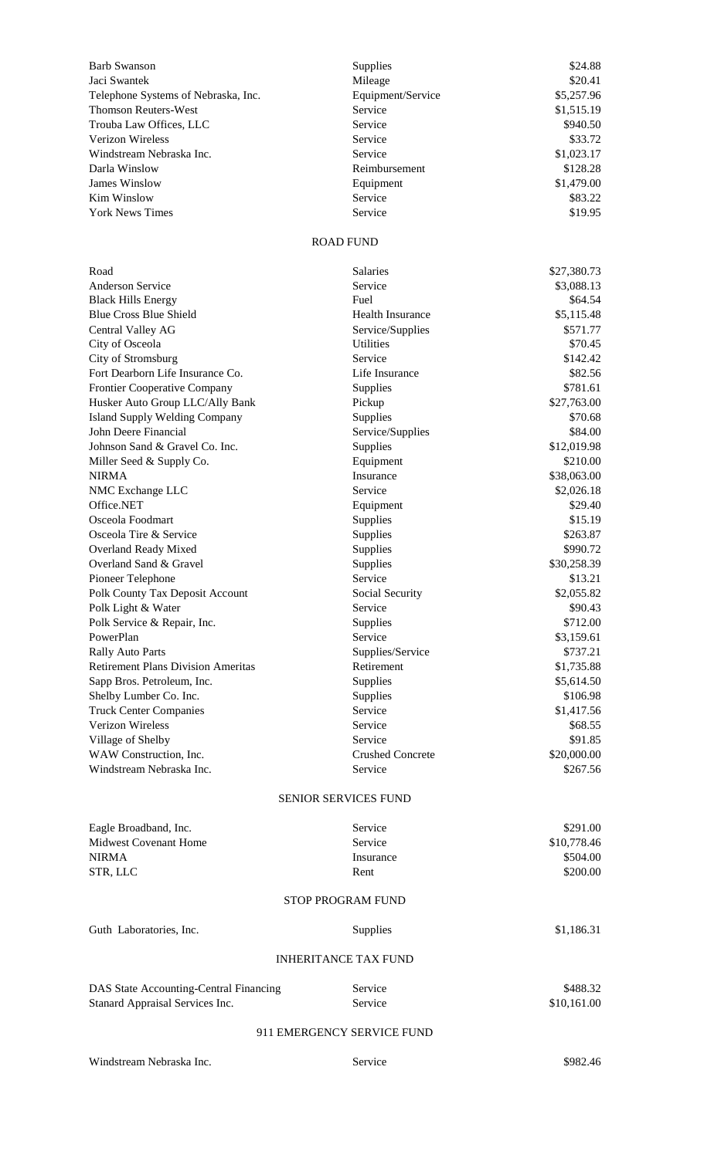| <b>Barb Swanson</b>                                                       | Supplies                           | \$24.88                 |
|---------------------------------------------------------------------------|------------------------------------|-------------------------|
| Jaci Swantek                                                              | Mileage                            | \$20.41                 |
| Telephone Systems of Nebraska, Inc.                                       | Equipment/Service                  | \$5,257.96              |
| <b>Thomson Reuters-West</b>                                               | Service                            | \$1,515.19              |
| Trouba Law Offices, LLC                                                   | Service                            | \$940.50                |
| <b>Verizon Wireless</b>                                                   | Service                            | \$33.72                 |
| Windstream Nebraska Inc.                                                  | Service                            | \$1,023.17              |
| Darla Winslow                                                             | Reimbursement                      | \$128.28                |
| <b>James Winslow</b><br>Kim Winslow                                       | Equipment<br>Service               | \$1,479.00              |
| <b>York News Times</b>                                                    | Service                            | \$83.22<br>\$19.95      |
|                                                                           |                                    |                         |
|                                                                           | <b>ROAD FUND</b>                   |                         |
| Road                                                                      | <b>Salaries</b>                    | \$27,380.73             |
| <b>Anderson Service</b>                                                   | Service                            | \$3,088.13              |
| <b>Black Hills Energy</b>                                                 | Fuel                               | \$64.54                 |
| <b>Blue Cross Blue Shield</b>                                             | <b>Health Insurance</b>            | \$5,115.48              |
| Central Valley AG                                                         | Service/Supplies                   | \$571.77                |
| City of Osceola                                                           | <b>Utilities</b>                   | \$70.45                 |
| City of Stromsburg                                                        | Service                            | \$142.42                |
| Fort Dearborn Life Insurance Co.                                          | Life Insurance                     | \$82.56                 |
| <b>Frontier Cooperative Company</b>                                       | Supplies                           | \$781.61                |
| Husker Auto Group LLC/Ally Bank                                           | Pickup                             | \$27,763.00             |
| <b>Island Supply Welding Company</b>                                      | Supplies                           | \$70.68                 |
| John Deere Financial                                                      | Service/Supplies                   | \$84.00                 |
| Johnson Sand & Gravel Co. Inc.                                            | Supplies<br>Equipment              | \$12,019.98<br>\$210.00 |
| Miller Seed & Supply Co.<br><b>NIRMA</b>                                  | Insurance                          | \$38,063.00             |
| NMC Exchange LLC                                                          | Service                            | \$2,026.18              |
| Office.NET                                                                | Equipment                          | \$29.40                 |
| Osceola Foodmart                                                          | Supplies                           | \$15.19                 |
| Osceola Tire & Service                                                    | Supplies                           | \$263.87                |
| Overland Ready Mixed                                                      | Supplies                           | \$990.72                |
| Overland Sand & Gravel                                                    | Supplies                           | \$30,258.39             |
| Pioneer Telephone                                                         | Service                            | \$13.21                 |
| Polk County Tax Deposit Account                                           | Social Security                    | \$2,055.82              |
| Polk Light & Water                                                        | Service                            | \$90.43                 |
| Polk Service & Repair, Inc.                                               | Supplies                           | \$712.00                |
| PowerPlan                                                                 | Service                            | \$3,159.61              |
| <b>Rally Auto Parts</b>                                                   | Supplies/Service                   | \$737.21                |
| <b>Retirement Plans Division Ameritas</b>                                 | Retirement                         | \$1,735.88              |
| Sapp Bros. Petroleum, Inc.                                                | Supplies                           | \$5,614.50              |
| Shelby Lumber Co. Inc.                                                    | Supplies                           | \$106.98                |
| <b>Truck Center Companies</b>                                             | Service                            | \$1,417.56              |
| Verizon Wireless                                                          | Service                            | \$68.55                 |
| Village of Shelby<br>WAW Construction, Inc.                               | Service                            | \$91.85                 |
| Windstream Nebraska Inc.                                                  | <b>Crushed Concrete</b><br>Service | \$20,000.00<br>\$267.56 |
|                                                                           |                                    |                         |
|                                                                           | <b>SENIOR SERVICES FUND</b>        |                         |
| Eagle Broadband, Inc.                                                     | Service                            | \$291.00                |
| <b>Midwest Covenant Home</b>                                              | Service                            | \$10,778.46             |
| <b>NIRMA</b>                                                              | Insurance                          | \$504.00                |
| STR, LLC                                                                  | Rent                               | \$200.00                |
|                                                                           | <b>STOP PROGRAM FUND</b>           |                         |
| Guth Laboratories, Inc.                                                   | Supplies                           | \$1,186.31              |
|                                                                           | <b>INHERITANCE TAX FUND</b>        |                         |
|                                                                           | Service                            | \$488.32                |
| DAS State Accounting-Central Financing<br>Stanard Appraisal Services Inc. | Service                            | \$10,161.00             |
|                                                                           |                                    |                         |

## 911 EMERGENCY SERVICE FUND